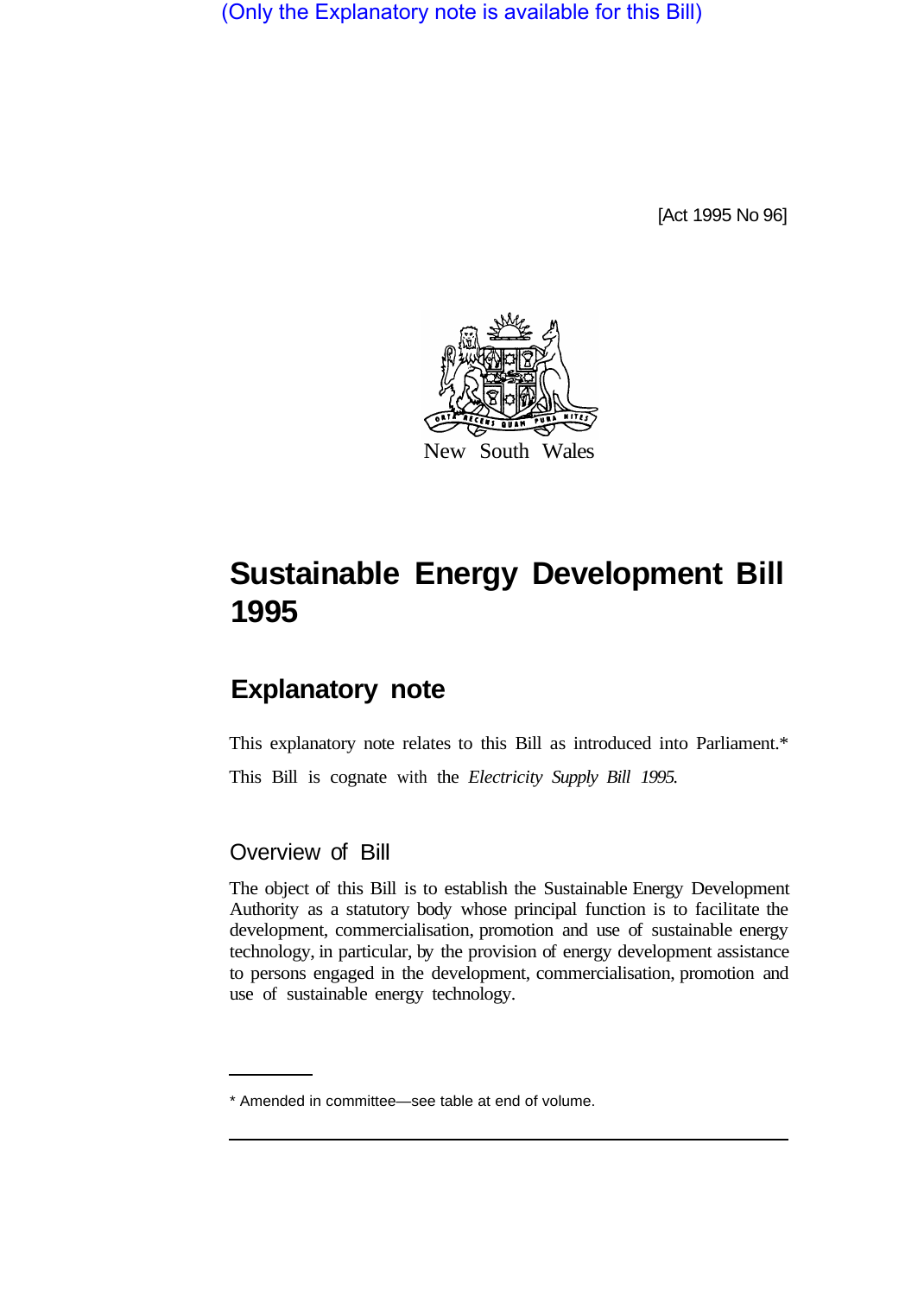(Only the Explanatory note is available for this Bill)

[Act 1995 No 96]



# **Sustainable Energy Development Bill 1995**

# **Explanatory note**

This explanatory note relates to this Bill as introduced into Parliament.\* This Bill is cognate with the *Electricity Supply Bill 1995.* 

## Overview of Bill

The object of this Bill is to establish the Sustainable Energy Development Authority as a statutory body whose principal function is to facilitate the development, commercialisation, promotion and use of sustainable energy technology, in particular, by the provision of energy development assistance to persons engaged in the development, commercialisation, promotion and use of sustainable energy technology.

<sup>\*</sup> Amended in committee—see table at end of volume.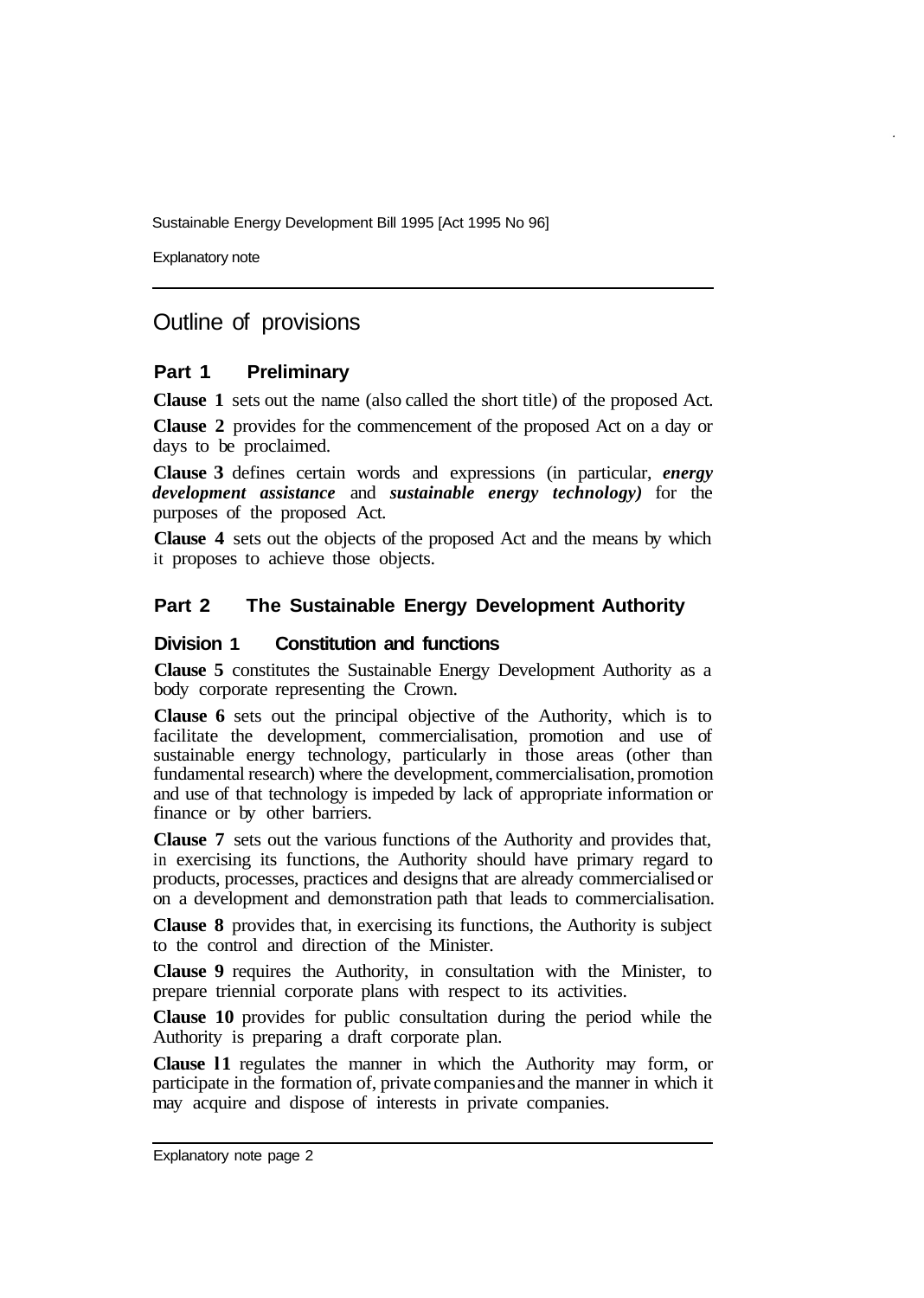Sustainable Energy Development Bill 1995 [Act 1995 No 96]

Explanatory note

# Outline of provisions

#### **Part 1 Preliminary**

**Clause 1** sets out the name (also called the short title) of the proposed Act.

**Clause 2** provides for the commencement of the proposed Act on a day or days to be proclaimed.

**Clause 3** defines certain words and expressions (in particular, *energy development assistance* and *sustainable energy technology)* for the purposes of the proposed Act.

**Clause 4** sets out the objects of the proposed Act and the means by which it proposes to achieve those objects.

#### **Part 2 The Sustainable Energy Development Authority**

#### **Division 1 Constitution and functions**

**Clause 5** constitutes the Sustainable Energy Development Authority as a body corporate representing the Crown.

**Clause 6** sets out the principal objective of the Authority, which is to facilitate the development, commercialisation, promotion and use of sustainable energy technology, particularly in those areas (other than fundamental research) where the development, commercialisation, promotion and use of that technology is impeded by lack of appropriate information or finance or by other barriers.

**Clause 7** sets out the various functions of the Authority and provides that, in exercising its functions, the Authority should have primary regard to products, processes, practices and designs that are already commercialised or on a development and demonstration path that leads to commercialisation.

**Clause 8** provides that, in exercising its functions, the Authority is subject to the control and direction of the Minister.

**Clause 9** requires the Authority, in consultation with the Minister, to prepare triennial corporate plans with respect to its activities.

**Clause 10** provides for public consultation during the period while the Authority is preparing a draft corporate plan.

**Clause l1** regulates the manner in which the Authority may form, or participate in the formation of, private companies and the manner in which it may acquire and dispose of interests in private companies.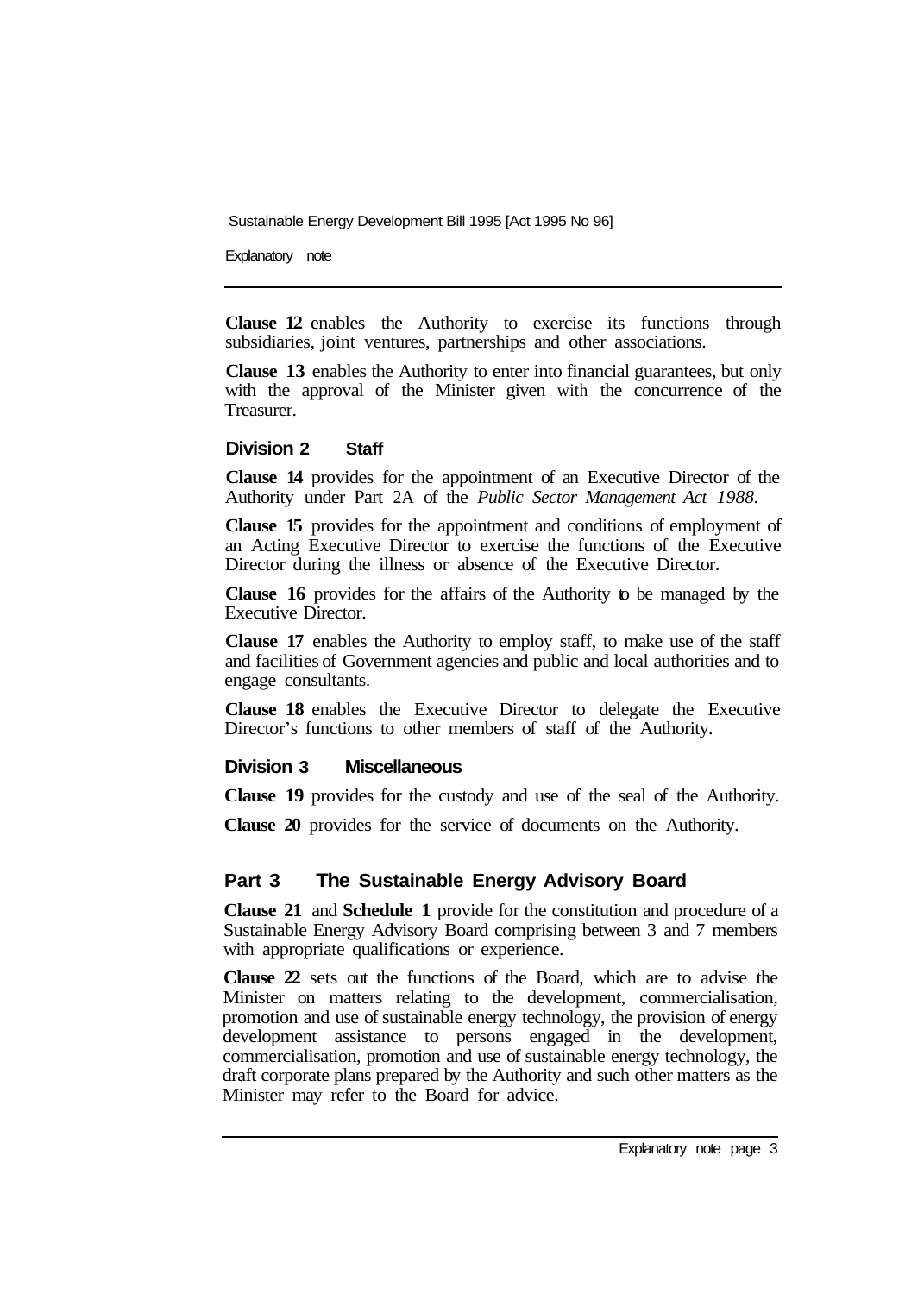Sustainable Energy Development Bill 1995 [Act 1995 No 96]

Explanatory note

**Clause 12** enables the Authority to exercise its functions through subsidiaries, joint ventures, partnerships and other associations.

**Clause 13** enables the Authority to enter into financial guarantees, but only with the approval of the Minister given with the concurrence of the Treasurer.

#### **Division 2 Staff**

**Clause 14** provides for the appointment of an Executive Director of the Authority under Part 2A of the *Public Sector Management Act 1988.* 

**Clause 15** provides for the appointment and conditions of employment of an Acting Executive Director to exercise the functions of the Executive Director during the illness or absence of the Executive Director.

**Clause 16** provides for the affairs of the Authority to be managed by the Executive Director.

**Clause 17** enables the Authority to employ staff, to make use of the staff and facilities of Government agencies and public and local authorities and to engage consultants.

**Clause 18** enables the Executive Director to delegate the Executive Director's functions to other members of staff of the Authority.

#### **Division 3 Miscellaneous**

**Clause 19** provides for the custody and use of the seal of the Authority.

**Clause 20** provides for the service of documents on the Authority.

### **Part 3 The Sustainable Energy Advisory Board**

**Clause 21** and **Schedule 1** provide for the constitution and procedure of a Sustainable Energy Advisory Board comprising between 3 and 7 members with appropriate qualifications or experience.

**Clause 22** sets out the functions of the Board, which are to advise the Minister on matters relating to the development, commercialisation, promotion and use of sustainable energy technology, the provision of energy development assistance to persons engaged in the development, commercialisation, promotion and use of sustainable energy technology, the draft corporate plans prepared by the Authority and such other matters as the Minister may refer to the Board for advice.